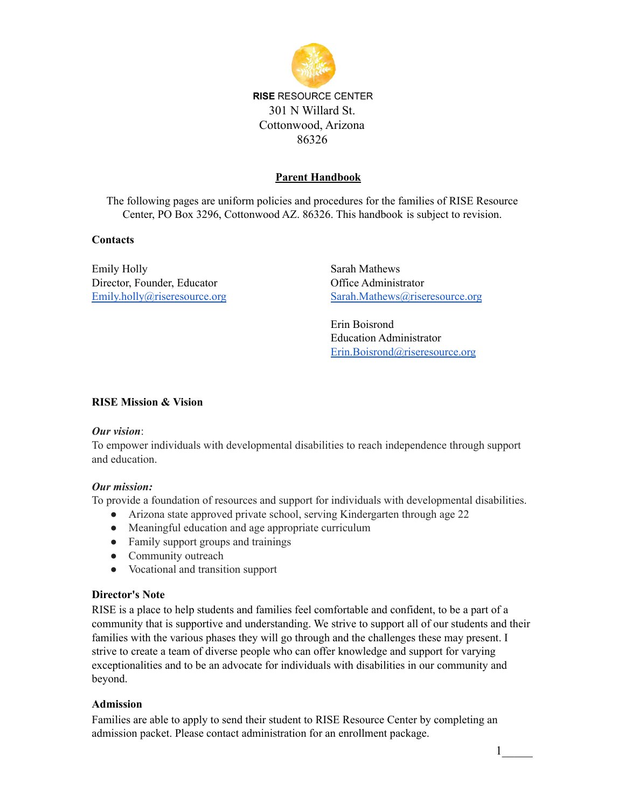

# **Parent Handbook**

The following pages are uniform policies and procedures for the families of RISE Resource Center, PO Box 3296, Cottonwood AZ. 86326. This handbook is subject to revision.

#### **Contacts**

Emily Holly Director, Founder, Educator [Emily.holly@riseresource.org](mailto:Emily.holly@riseresource.org) Sarah Mathews Office Administrator [Sarah.Mathews@riseresource.org](mailto:Sarah.Mathews@riseresource.org)

Erin Boisrond Education Administrator [Erin.Boisrond@riseresource.org](mailto:Erin.Boisrand@riseresource.org)

### **RISE Mission & Vision**

#### *Our vision*:

To empower individuals with developmental disabilities to reach independence through support and education.

#### *Our mission:*

To provide a foundation of resources and support for individuals with developmental disabilities.

- Arizona state approved private school, serving Kindergarten through age 22
- Meaningful education and age appropriate curriculum
- Family support groups and trainings
- Community outreach
- Vocational and transition support

#### **Director's Note**

RISE is a place to help students and families feel comfortable and confident, to be a part of a community that is supportive and understanding. We strive to support all of our students and their families with the various phases they will go through and the challenges these may present. I strive to create a team of diverse people who can offer knowledge and support for varying exceptionalities and to be an advocate for individuals with disabilities in our community and beyond.

#### **Admission**

Families are able to apply to send their student to RISE Resource Center by completing an admission packet. Please contact administration for an enrollment package.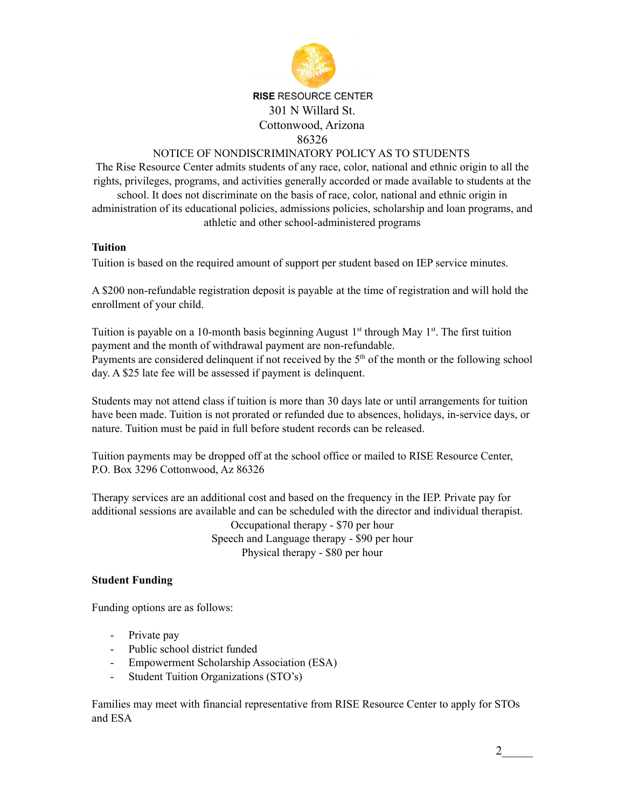

# **RISE RESOURCE CENTER** 301 N Willard St. Cottonwood, Arizona 86326

## NOTICE OF NONDISCRIMINATORY POLICY AS TO STUDENTS

The Rise Resource Center admits students of any race, color, national and ethnic origin to all the rights, privileges, programs, and activities generally accorded or made available to students at the school. It does not discriminate on the basis of race, color, national and ethnic origin in

administration of its educational policies, admissions policies, scholarship and loan programs, and athletic and other school-administered programs

## **Tuition**

Tuition is based on the required amount of support per student based on IEP service minutes.

A \$200 non-refundable registration deposit is payable at the time of registration and will hold the enrollment of your child.

Tuition is payable on a 10-month basis beginning August 1<sup>st</sup> through May 1<sup>st</sup>. The first tuition payment and the month of withdrawal payment are non-refundable. Payments are considered delinquent if not received by the  $5<sup>th</sup>$  of the month or the following school day. A \$25 late fee will be assessed if payment is delinquent.

Students may not attend class if tuition is more than 30 days late or until arrangements for tuition have been made. Tuition is not prorated or refunded due to absences, holidays, in-service days, or nature. Tuition must be paid in full before student records can be released.

Tuition payments may be dropped off at the school office or mailed to RISE Resource Center, P.O. Box 3296 Cottonwood, Az 86326

Therapy services are an additional cost and based on the frequency in the IEP. Private pay for additional sessions are available and can be scheduled with the director and individual therapist. Occupational therapy - \$70 per hour Speech and Language therapy - \$90 per hour Physical therapy - \$80 per hour

#### **Student Funding**

Funding options are as follows:

- Private pay
- Public school district funded
- Empowerment Scholarship Association (ESA)
- Student Tuition Organizations (STO's)

Families may meet with financial representative from RISE Resource Center to apply for STOs and ESA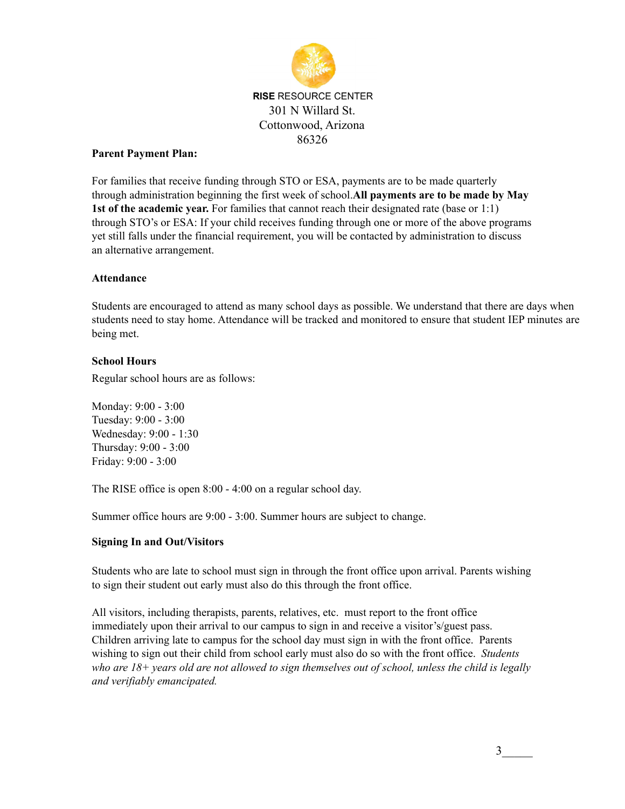

### **Parent Payment Plan:**

For families that receive funding through STO or ESA, payments are to be made quarterly through administration beginning the first week of school.**All payments are to be made by May 1st of the academic year.** For families that cannot reach their designated rate (base or 1:1) through STO's or ESA: If your child receives funding through one or more of the above programs yet still falls under the financial requirement, you will be contacted by administration to discuss an alternative arrangement.

## **Attendance**

Students are encouraged to attend as many school days as possible. We understand that there are days when students need to stay home. Attendance will be tracked and monitored to ensure that student IEP minutes are being met.

## **School Hours**

Regular school hours are as follows:

Monday: 9:00 - 3:00 Tuesday: 9:00 - 3:00 Wednesday: 9:00 - 1:30 Thursday: 9:00 - 3:00 Friday: 9:00 - 3:00

The RISE office is open 8:00 - 4:00 on a regular school day.

Summer office hours are 9:00 - 3:00. Summer hours are subject to change.

#### **Signing In and Out/Visitors**

Students who are late to school must sign in through the front office upon arrival. Parents wishing to sign their student out early must also do this through the front office.

All visitors, including therapists, parents, relatives, etc. must report to the front office immediately upon their arrival to our campus to sign in and receive a visitor's/guest pass. Children arriving late to campus for the school day must sign in with the front office. Parents wishing to sign out their child from school early must also do so with the front office. *Students* who are  $18+$  years old are not allowed to sign themselves out of school, unless the child is legally *and verifiably emancipated.*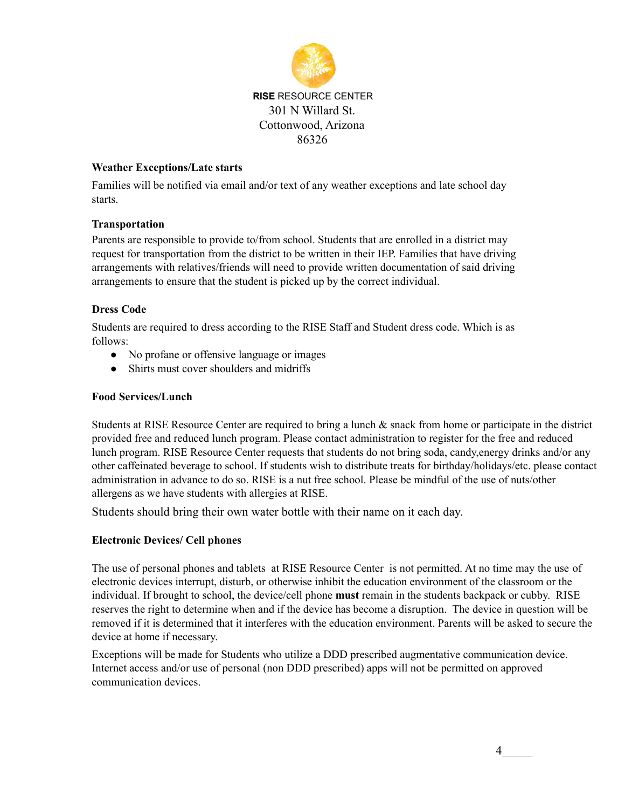

## **Weather Exceptions/Late starts**

Families will be notified via email and/or text of any weather exceptions and late school day starts.

## **Transportation**

Parents are responsible to provide to/from school. Students that are enrolled in a district may request for transportation from the district to be written in their IEP. Families that have driving arrangements with relatives/friends will need to provide written documentation of said driving arrangements to ensure that the student is picked up by the correct individual.

## **Dress Code**

Students are required to dress according to the RISE Staff and Student dress code. Which is as follows:

- No profane or offensive language or images
- Shirts must cover shoulders and midriffs

#### **Food Services/Lunch**

Students at RISE Resource Center are required to bring a lunch & snack from home or participate in the district provided free and reduced lunch program. Please contact administration to register for the free and reduced lunch program. RISE Resource Center requests that students do not bring soda, candy,energy drinks and/or any other caffeinated beverage to school. If students wish to distribute treats for birthday/holidays/etc. please contact administration in advance to do so. RISE is a nut free school. Please be mindful of the use of nuts/other allergens as we have students with allergies at RISE.

Students should bring their own water bottle with their name on it each day.

#### **Electronic Devices/ Cell phones**

The use of personal phones and tablets at RISE Resource Center is not permitted. At no time may the use of electronic devices interrupt, disturb, or otherwise inhibit the education environment of the classroom or the individual. If brought to school, the device/cell phone **must** remain in the students backpack or cubby. RISE reserves the right to determine when and if the device has become a disruption. The device in question will be removed if it is determined that it interferes with the education environment. Parents will be asked to secure the device at home if necessary.

Exceptions will be made for Students who utilize a DDD prescribed augmentative communication device. Internet access and/or use of personal (non DDD prescribed) apps will not be permitted on approved communication devices.

4\_\_\_\_\_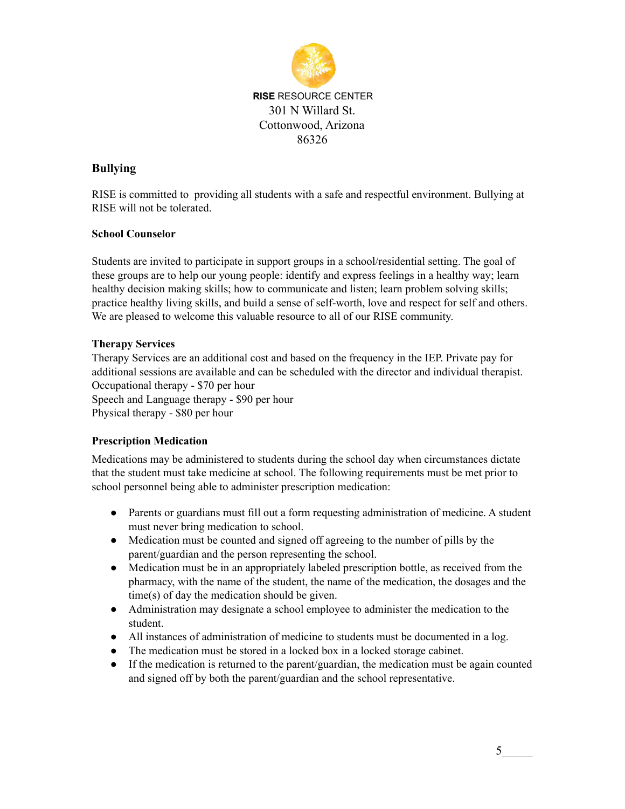

# **Bullying**

RISE is committed to providing all students with a safe and respectful environment. Bullying at RISE will not be tolerated.

## **School Counselor**

Students are invited to participate in support groups in a school/residential setting. The goal of these groups are to help our young people: identify and express feelings in a healthy way; learn healthy decision making skills; how to communicate and listen; learn problem solving skills; practice healthy living skills, and build a sense of self-worth, love and respect for self and others. We are pleased to welcome this valuable resource to all of our RISE community.

## **Therapy Services**

Therapy Services are an additional cost and based on the frequency in the IEP. Private pay for additional sessions are available and can be scheduled with the director and individual therapist. Occupational therapy - \$70 per hour

Speech and Language therapy - \$90 per hour Physical therapy - \$80 per hour

## **Prescription Medication**

Medications may be administered to students during the school day when circumstances dictate that the student must take medicine at school. The following requirements must be met prior to school personnel being able to administer prescription medication:

- Parents or guardians must fill out a form requesting administration of medicine. A student must never bring medication to school.
- Medication must be counted and signed off agreeing to the number of pills by the parent/guardian and the person representing the school.
- Medication must be in an appropriately labeled prescription bottle, as received from the pharmacy, with the name of the student, the name of the medication, the dosages and the time(s) of day the medication should be given.
- Administration may designate a school employee to administer the medication to the student.
- All instances of administration of medicine to students must be documented in a log.
- The medication must be stored in a locked box in a locked storage cabinet.
- If the medication is returned to the parent/guardian, the medication must be again counted and signed off by both the parent/guardian and the school representative.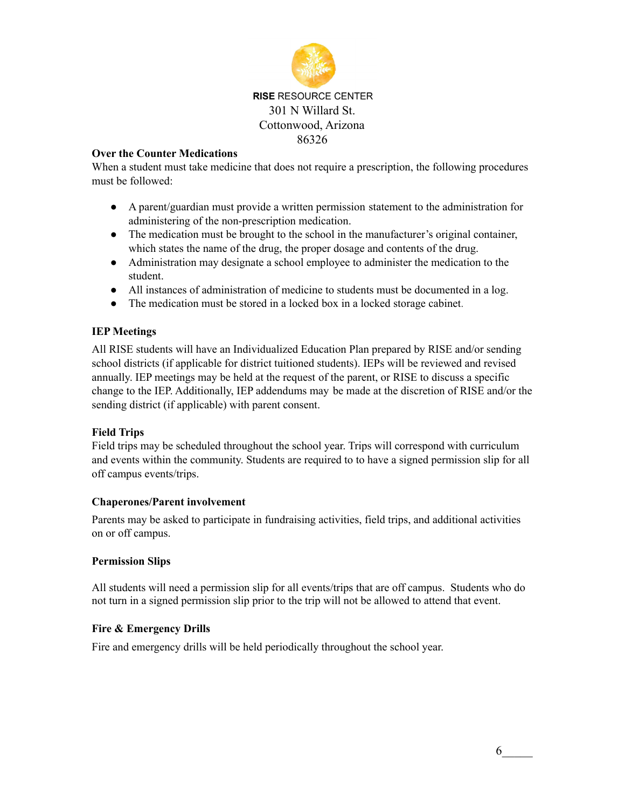

### **Over the Counter Medications**

When a student must take medicine that does not require a prescription, the following procedures must be followed:

- A parent/guardian must provide a written permission statement to the administration for administering of the non-prescription medication.
- The medication must be brought to the school in the manufacturer's original container, which states the name of the drug, the proper dosage and contents of the drug.
- Administration may designate a school employee to administer the medication to the student.
- All instances of administration of medicine to students must be documented in a log.
- The medication must be stored in a locked box in a locked storage cabinet.

## **IEP Meetings**

All RISE students will have an Individualized Education Plan prepared by RISE and/or sending school districts (if applicable for district tuitioned students). IEPs will be reviewed and revised annually. IEP meetings may be held at the request of the parent, or RISE to discuss a specific change to the IEP. Additionally, IEP addendums may be made at the discretion of RISE and/or the sending district (if applicable) with parent consent.

#### **Field Trips**

Field trips may be scheduled throughout the school year. Trips will correspond with curriculum and events within the community. Students are required to to have a signed permission slip for all off campus events/trips.

## **Chaperones/Parent involvement**

Parents may be asked to participate in fundraising activities, field trips, and additional activities on or off campus.

#### **Permission Slips**

All students will need a permission slip for all events/trips that are off campus. Students who do not turn in a signed permission slip prior to the trip will not be allowed to attend that event.

#### **Fire & Emergency Drills**

Fire and emergency drills will be held periodically throughout the school year.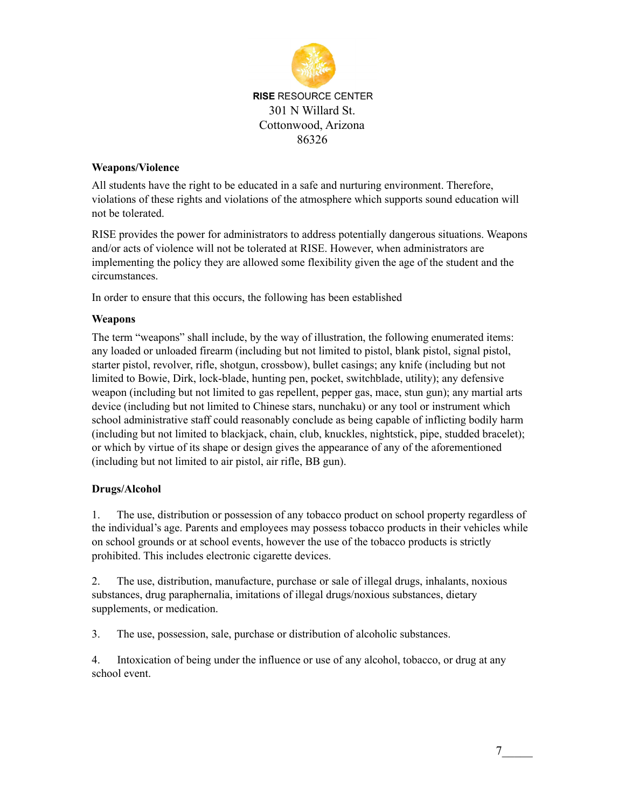

## **Weapons/Violence**

All students have the right to be educated in a safe and nurturing environment. Therefore, violations of these rights and violations of the atmosphere which supports sound education will not be tolerated.

RISE provides the power for administrators to address potentially dangerous situations. Weapons and/or acts of violence will not be tolerated at RISE. However, when administrators are implementing the policy they are allowed some flexibility given the age of the student and the circumstances.

In order to ensure that this occurs, the following has been established

## **Weapons**

The term "weapons" shall include, by the way of illustration, the following enumerated items: any loaded or unloaded firearm (including but not limited to pistol, blank pistol, signal pistol, starter pistol, revolver, rifle, shotgun, crossbow), bullet casings; any knife (including but not limited to Bowie, Dirk, lock-blade, hunting pen, pocket, switchblade, utility); any defensive weapon (including but not limited to gas repellent, pepper gas, mace, stun gun); any martial arts device (including but not limited to Chinese stars, nunchaku) or any tool or instrument which school administrative staff could reasonably conclude as being capable of inflicting bodily harm (including but not limited to blackjack, chain, club, knuckles, nightstick, pipe, studded bracelet); or which by virtue of its shape or design gives the appearance of any of the aforementioned (including but not limited to air pistol, air rifle, BB gun).

## **Drugs/Alcohol**

1. The use, distribution or possession of any tobacco product on school property regardless of the individual's age. Parents and employees may possess tobacco products in their vehicles while on school grounds or at school events, however the use of the tobacco products is strictly prohibited. This includes electronic cigarette devices.

2. The use, distribution, manufacture, purchase or sale of illegal drugs, inhalants, noxious substances, drug paraphernalia, imitations of illegal drugs/noxious substances, dietary supplements, or medication.

3. The use, possession, sale, purchase or distribution of alcoholic substances.

4. Intoxication of being under the influence or use of any alcohol, tobacco, or drug at any school event.